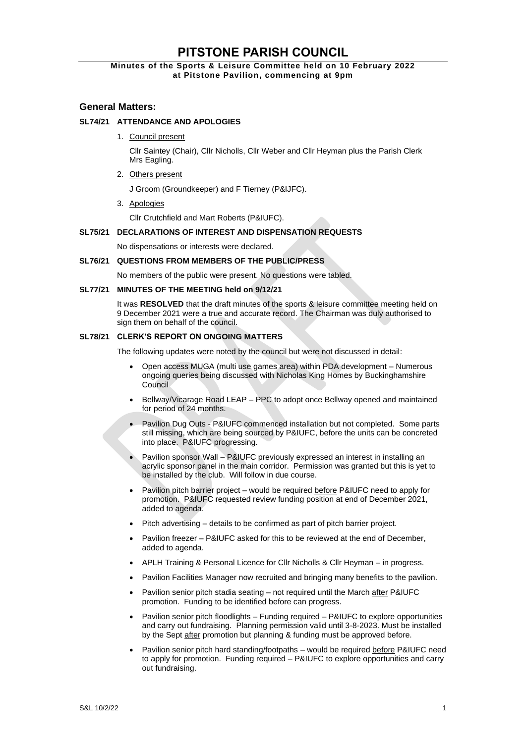# **PITSTONE PARISH COUNCIL**

## **Minutes of the Sports & Leisure Committee held on 10 February 2022 at Pitstone Pavilion, commencing at 9pm**

## **General Matters:**

## **SL74/21 ATTENDANCE AND APOLOGIES**

1. Council present

Cllr Saintey (Chair), Cllr Nicholls, Cllr Weber and Cllr Heyman plus the Parish Clerk Mrs Eagling.

2. Others present

J Groom (Groundkeeper) and F Tierney (P&IJFC).

3. Apologies

Cllr Crutchfield and Mart Roberts (P&IUFC).

## **SL75/21 DECLARATIONS OF INTEREST AND DISPENSATION REQUESTS**

No dispensations or interests were declared.

## **SL76/21 QUESTIONS FROM MEMBERS OF THE PUBLIC/PRESS**

No members of the public were present. No questions were tabled.

## **SL77/21 MINUTES OF THE MEETING held on 9/12/21**

It was **RESOLVED** that the draft minutes of the sports & leisure committee meeting held on 9 December 2021 were a true and accurate record. The Chairman was duly authorised to sign them on behalf of the council.

## **SL78/21 CLERK'S REPORT ON ONGOING MATTERS**

The following updates were noted by the council but were not discussed in detail:

- Open access MUGA (multi use games area) within PDA development Numerous ongoing queries being discussed with Nicholas King Homes by Buckinghamshire **Council**
- Bellway/Vicarage Road LEAP PPC to adopt once Bellway opened and maintained for period of 24 months.
- Pavilion Dug Outs P&IUFC commenced installation but not completed. Some parts still missing, which are being sourced by P&IUFC, before the units can be concreted into place. P&IUFC progressing.
- Pavilion sponsor Wall P&IUFC previously expressed an interest in installing an acrylic sponsor panel in the main corridor. Permission was granted but this is yet to be installed by the club. Will follow in due course.
- Pavilion pitch barrier project would be required before P&IUFC need to apply for promotion. P&IUFC requested review funding position at end of December 2021, added to agenda.
- Pitch advertising details to be confirmed as part of pitch barrier project.
- Pavilion freezer P&IUFC asked for this to be reviewed at the end of December, added to agenda.
- APLH Training & Personal Licence for Cllr Nicholls & Cllr Heyman in progress.
- Pavilion Facilities Manager now recruited and bringing many benefits to the pavilion.
- Pavilion senior pitch stadia seating not required until the March after P&IUFC promotion. Funding to be identified before can progress.
- Pavilion senior pitch floodlights Funding required P&IUFC to explore opportunities and carry out fundraising. Planning permission valid until 3-8-2023. Must be installed by the Sept after promotion but planning & funding must be approved before.
- Pavilion senior pitch hard standing/footpaths would be required before P&IUFC need to apply for promotion. Funding required – P&IUFC to explore opportunities and carry out fundraising.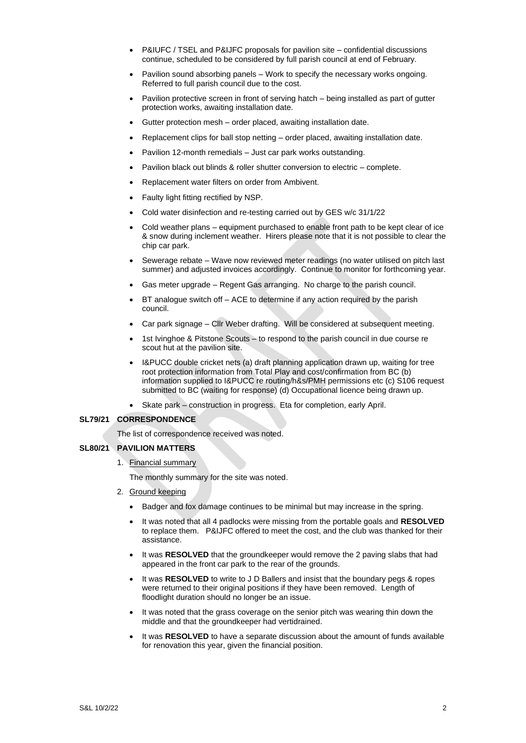- P&IUFC / TSEL and P&IJFC proposals for pavilion site confidential discussions continue, scheduled to be considered by full parish council at end of February.
- Pavilion sound absorbing panels Work to specify the necessary works ongoing. Referred to full parish council due to the cost.
- Pavilion protective screen in front of serving hatch being installed as part of gutter protection works, awaiting installation date.
- Gutter protection mesh order placed, awaiting installation date.
- Replacement clips for ball stop netting order placed, awaiting installation date.
- Pavilion 12-month remedials Just car park works outstanding.
- Pavilion black out blinds & roller shutter conversion to electric complete.
- Replacement water filters on order from Ambivent.
- Faulty light fitting rectified by NSP.
- Cold water disinfection and re-testing carried out by GES w/c 31/1/22
- Cold weather plans equipment purchased to enable front path to be kept clear of ice & snow during inclement weather. Hirers please note that it is not possible to clear the chip car park.
- Sewerage rebate Wave now reviewed meter readings (no water utilised on pitch last summer) and adjusted invoices accordingly. Continue to monitor for forthcoming year.
- Gas meter upgrade Regent Gas arranging. No charge to the parish council.
- BT analogue switch off ACE to determine if any action required by the parish council.
- Car park signage Cllr Weber drafting. Will be considered at subsequent meeting.
- 1st Ivinghoe & Pitstone Scouts to respond to the parish council in due course re scout hut at the pavilion site.
- I&PUCC double cricket nets (a) draft planning application drawn up, waiting for tree root protection information from Total Play and cost/confirmation from BC (b) information supplied to I&PUCC re routing/h&s/PMH permissions etc (c) S106 request submitted to BC (waiting for response) (d) Occupational licence being drawn up.
- Skate park construction in progress. Eta for completion, early April.

#### **SL79/21 CORRESPONDENCE**

The list of correspondence received was noted.

## **SL80/21 PAVILION MATTERS**

1. Financial summary

The monthly summary for the site was noted.

- 2. Ground keeping
	- Badger and fox damage continues to be minimal but may increase in the spring.
	- It was noted that all 4 padlocks were missing from the portable goals and **RESOLVED**  to replace them. P&IJFC offered to meet the cost, and the club was thanked for their assistance.
	- It was **RESOLVED** that the groundkeeper would remove the 2 paving slabs that had appeared in the front car park to the rear of the grounds.
	- It was **RESOLVED** to write to J D Ballers and insist that the boundary pegs & ropes were returned to their original positions if they have been removed. Length of floodlight duration should no longer be an issue.
	- It was noted that the grass coverage on the senior pitch was wearing thin down the middle and that the groundkeeper had vertidrained.
	- It was **RESOLVED** to have a separate discussion about the amount of funds available for renovation this year, given the financial position.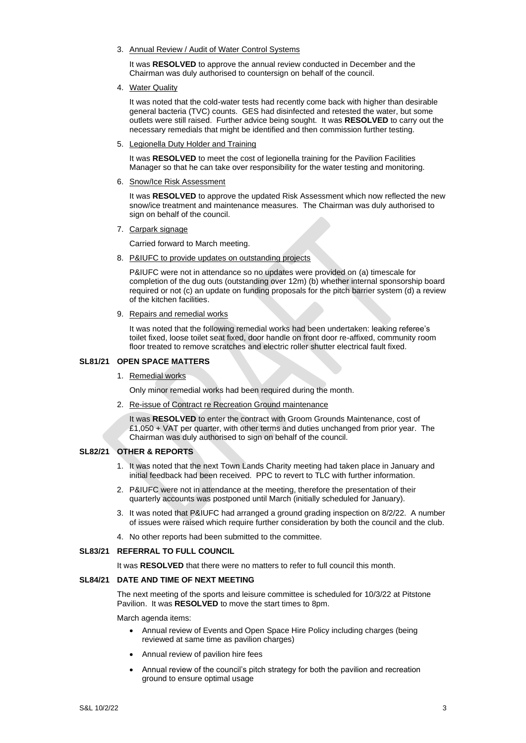3. Annual Review / Audit of Water Control Systems

It was **RESOLVED** to approve the annual review conducted in December and the Chairman was duly authorised to countersign on behalf of the council.

4. Water Quality

It was noted that the cold-water tests had recently come back with higher than desirable general bacteria (TVC) counts. GES had disinfected and retested the water, but some outlets were still raised. Further advice being sought. It was **RESOLVED** to carry out the necessary remedials that might be identified and then commission further testing.

5. Legionella Duty Holder and Training

It was **RESOLVED** to meet the cost of legionella training for the Pavilion Facilities Manager so that he can take over responsibility for the water testing and monitoring.

6. Snow/Ice Risk Assessment

It was **RESOLVED** to approve the updated Risk Assessment which now reflected the new snow/ice treatment and maintenance measures. The Chairman was duly authorised to sign on behalf of the council.

7. Carpark signage

Carried forward to March meeting.

8. P&IUFC to provide updates on outstanding projects

P&IUFC were not in attendance so no updates were provided on (a) timescale for completion of the dug outs (outstanding over 12m) (b) whether internal sponsorship board required or not (c) an update on funding proposals for the pitch barrier system (d) a review of the kitchen facilities.

9. Repairs and remedial works

It was noted that the following remedial works had been undertaken: leaking referee's toilet fixed, loose toilet seat fixed, door handle on front door re-affixed, community room floor treated to remove scratches and electric roller shutter electrical fault fixed.

#### **SL81/21 OPEN SPACE MATTERS**

1. Remedial works

Only minor remedial works had been required during the month.

2. Re-issue of Contract re Recreation Ground maintenance

It was **RESOLVED** to enter the contract with Groom Grounds Maintenance, cost of £1,050 + VAT per quarter, with other terms and duties unchanged from prior year. The Chairman was duly authorised to sign on behalf of the council.

#### **SL82/21 OTHER & REPORTS**

- 1. It was noted that the next Town Lands Charity meeting had taken place in January and initial feedback had been received. PPC to revert to TLC with further information.
- 2. P&IUFC were not in attendance at the meeting, therefore the presentation of their quarterly accounts was postponed until March (initially scheduled for January).
- 3. It was noted that P&IUFC had arranged a ground grading inspection on 8/2/22. A number of issues were raised which require further consideration by both the council and the club.
- 4. No other reports had been submitted to the committee.

#### **SL83/21 REFERRAL TO FULL COUNCIL**

It was **RESOLVED** that there were no matters to refer to full council this month.

#### **SL84/21 DATE AND TIME OF NEXT MEETING**

The next meeting of the sports and leisure committee is scheduled for 10/3/22 at Pitstone Pavilion. It was **RESOLVED** to move the start times to 8pm.

March agenda items:

- Annual review of Events and Open Space Hire Policy including charges (being reviewed at same time as pavilion charges)
- Annual review of pavilion hire fees
- Annual review of the council's pitch strategy for both the pavilion and recreation ground to ensure optimal usage